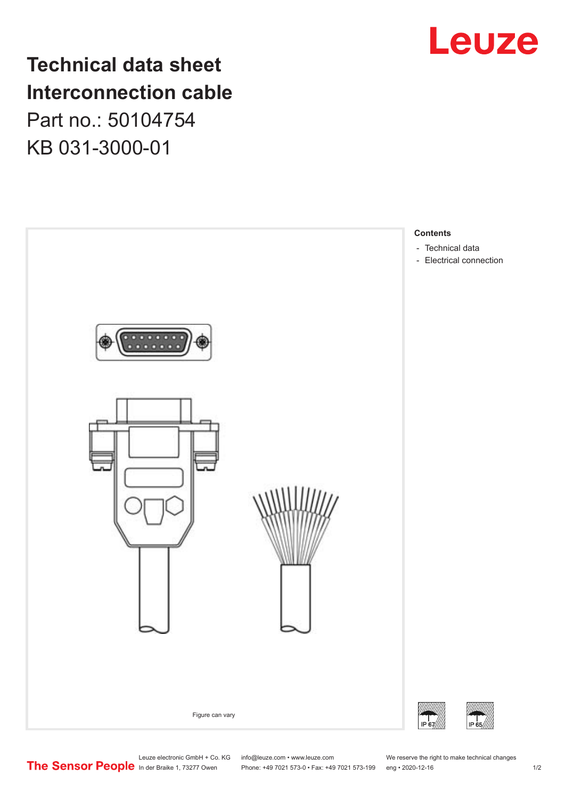## **Technical data sheet Interconnection cable** Part no.: 50104754 KB 031-3000-01



# Leuze

Leuze electronic GmbH + Co. KG info@leuze.com • www.leuze.com We reserve the right to make technical changes<br>
The Sensor People in der Braike 1, 73277 Owen Phone: +49 7021 573-0 • Fax: +49 7021 573-199 eng • 2020-12-16

Phone: +49 7021 573-0 • Fax: +49 7021 573-199 eng • 2020-12-16